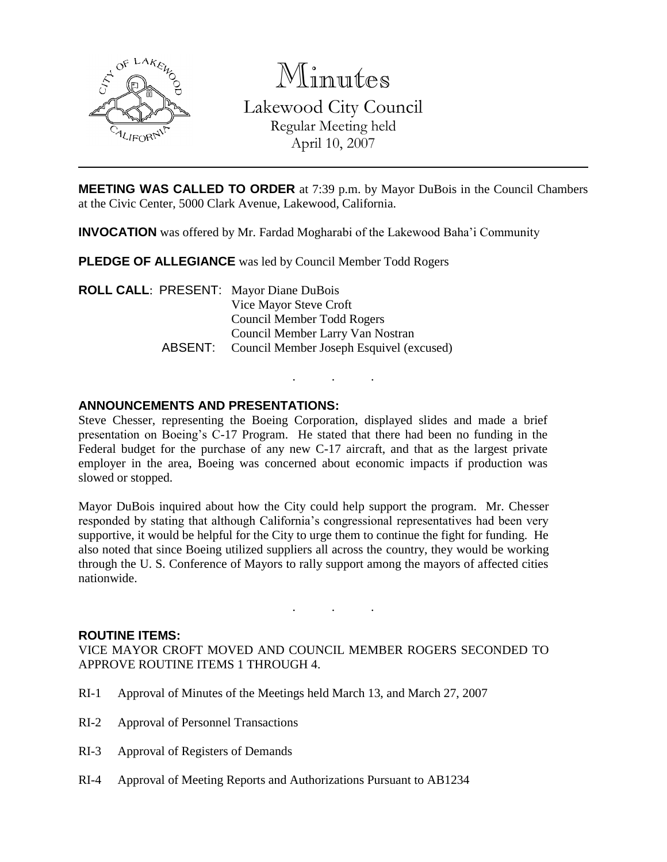

Minutes

Lakewood City Council Regular Meeting held April 10, 2007

**MEETING WAS CALLED TO ORDER** at 7:39 p.m. by Mayor DuBois in the Council Chambers at the Civic Center, 5000 Clark Avenue, Lakewood, California.

**INVOCATION** was offered by Mr. Fardad Mogharabi of the Lakewood Baha'i Community

**PLEDGE OF ALLEGIANCE** was led by Council Member Todd Rogers

**ROLL CALL**: PRESENT: Mayor Diane DuBois Vice Mayor Steve Croft Council Member Todd Rogers Council Member Larry Van Nostran ABSENT: Council Member Joseph Esquivel (excused)

## **ANNOUNCEMENTS AND PRESENTATIONS:**

Steve Chesser, representing the Boeing Corporation, displayed slides and made a brief presentation on Boeing's C-17 Program. He stated that there had been no funding in the Federal budget for the purchase of any new C-17 aircraft, and that as the largest private employer in the area, Boeing was concerned about economic impacts if production was slowed or stopped.

. . .

Mayor DuBois inquired about how the City could help support the program. Mr. Chesser responded by stating that although California's congressional representatives had been very supportive, it would be helpful for the City to urge them to continue the fight for funding. He also noted that since Boeing utilized suppliers all across the country, they would be working through the U. S. Conference of Mayors to rally support among the mayors of affected cities nationwide.

#### **ROUTINE ITEMS:**

VICE MAYOR CROFT MOVED AND COUNCIL MEMBER ROGERS SECONDED TO APPROVE ROUTINE ITEMS 1 THROUGH 4.

. . .

- RI-1 Approval of Minutes of the Meetings held March 13, and March 27, 2007
- RI-2 Approval of Personnel Transactions
- RI-3 Approval of Registers of Demands
- RI-4 Approval of Meeting Reports and Authorizations Pursuant to AB1234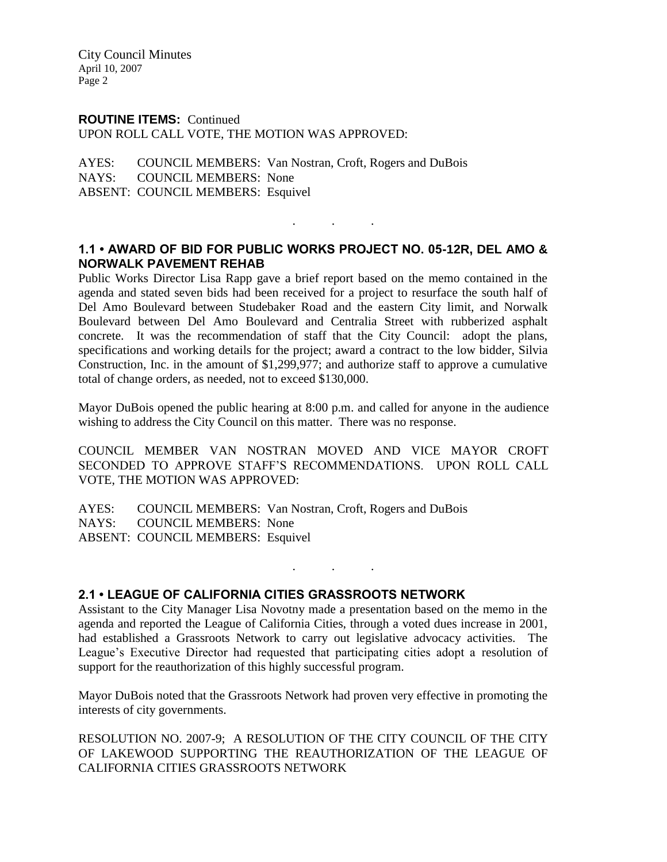#### **ROUTINE ITEMS:** Continued

UPON ROLL CALL VOTE, THE MOTION WAS APPROVED:

AYES: COUNCIL MEMBERS: Van Nostran, Croft, Rogers and DuBois NAYS: COUNCIL MEMBERS: None ABSENT: COUNCIL MEMBERS: Esquivel

## **1.1 • AWARD OF BID FOR PUBLIC WORKS PROJECT NO. 05-12R, DEL AMO & NORWALK PAVEMENT REHAB**

. . .

Public Works Director Lisa Rapp gave a brief report based on the memo contained in the agenda and stated seven bids had been received for a project to resurface the south half of Del Amo Boulevard between Studebaker Road and the eastern City limit, and Norwalk Boulevard between Del Amo Boulevard and Centralia Street with rubberized asphalt concrete. It was the recommendation of staff that the City Council: adopt the plans, specifications and working details for the project; award a contract to the low bidder, Silvia Construction, Inc. in the amount of \$1,299,977; and authorize staff to approve a cumulative total of change orders, as needed, not to exceed \$130,000.

Mayor DuBois opened the public hearing at 8:00 p.m. and called for anyone in the audience wishing to address the City Council on this matter. There was no response.

COUNCIL MEMBER VAN NOSTRAN MOVED AND VICE MAYOR CROFT SECONDED TO APPROVE STAFF'S RECOMMENDATIONS. UPON ROLL CALL VOTE, THE MOTION WAS APPROVED:

AYES: COUNCIL MEMBERS: Van Nostran, Croft, Rogers and DuBois NAYS: COUNCIL MEMBERS: None ABSENT: COUNCIL MEMBERS: Esquivel

#### **2.1 • LEAGUE OF CALIFORNIA CITIES GRASSROOTS NETWORK**

Assistant to the City Manager Lisa Novotny made a presentation based on the memo in the agenda and reported the League of California Cities, through a voted dues increase in 2001, had established a Grassroots Network to carry out legislative advocacy activities. The League's Executive Director had requested that participating cities adopt a resolution of support for the reauthorization of this highly successful program.

. . .

Mayor DuBois noted that the Grassroots Network had proven very effective in promoting the interests of city governments.

RESOLUTION NO. 2007-9; A RESOLUTION OF THE CITY COUNCIL OF THE CITY OF LAKEWOOD SUPPORTING THE REAUTHORIZATION OF THE LEAGUE OF CALIFORNIA CITIES GRASSROOTS NETWORK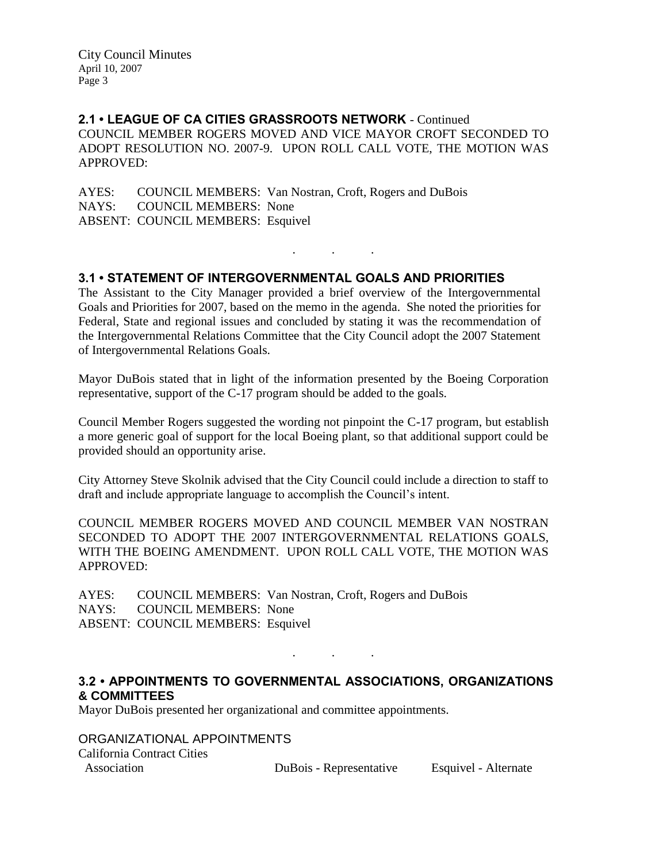**2.1 • LEAGUE OF CA CITIES GRASSROOTS NETWORK** - Continued COUNCIL MEMBER ROGERS MOVED AND VICE MAYOR CROFT SECONDED TO ADOPT RESOLUTION NO. 2007-9. UPON ROLL CALL VOTE, THE MOTION WAS APPROVED:

AYES: COUNCIL MEMBERS: Van Nostran, Croft, Rogers and DuBois NAYS: COUNCIL MEMBERS: None ABSENT: COUNCIL MEMBERS: Esquivel

#### **3.1 • STATEMENT OF INTERGOVERNMENTAL GOALS AND PRIORITIES**

The Assistant to the City Manager provided a brief overview of the Intergovernmental Goals and Priorities for 2007, based on the memo in the agenda. She noted the priorities for Federal, State and regional issues and concluded by stating it was the recommendation of the Intergovernmental Relations Committee that the City Council adopt the 2007 Statement of Intergovernmental Relations Goals.

. . .

Mayor DuBois stated that in light of the information presented by the Boeing Corporation representative, support of the C-17 program should be added to the goals.

Council Member Rogers suggested the wording not pinpoint the C-17 program, but establish a more generic goal of support for the local Boeing plant, so that additional support could be provided should an opportunity arise.

City Attorney Steve Skolnik advised that the City Council could include a direction to staff to draft and include appropriate language to accomplish the Council's intent.

COUNCIL MEMBER ROGERS MOVED AND COUNCIL MEMBER VAN NOSTRAN SECONDED TO ADOPT THE 2007 INTERGOVERNMENTAL RELATIONS GOALS, WITH THE BOEING AMENDMENT. UPON ROLL CALL VOTE, THE MOTION WAS APPROVED:

AYES: COUNCIL MEMBERS: Van Nostran, Croft, Rogers and DuBois NAYS: COUNCIL MEMBERS: None ABSENT: COUNCIL MEMBERS: Esquivel

#### **3.2 • APPOINTMENTS TO GOVERNMENTAL ASSOCIATIONS, ORGANIZATIONS & COMMITTEES**

. . .

Mayor DuBois presented her organizational and committee appointments.

ORGANIZATIONAL APPOINTMENTS California Contract Cities Association DuBois - Representative Esquivel - Alternate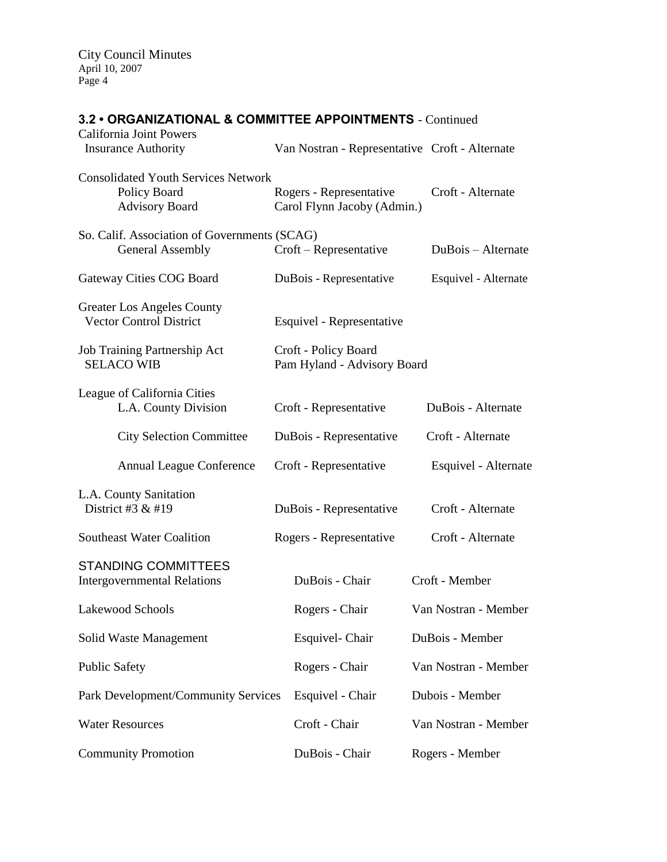# **3.2 • ORGANIZATIONAL & COMMITTEE APPOINTMENTS** - Continued

| California Joint Powers<br><b>Insurance Authority</b>                               | Van Nostran - Representative Croft - Alternate         |                      |
|-------------------------------------------------------------------------------------|--------------------------------------------------------|----------------------|
| <b>Consolidated Youth Services Network</b><br>Policy Board<br><b>Advisory Board</b> | Rogers - Representative<br>Carol Flynn Jacoby (Admin.) | Croft - Alternate    |
| So. Calif. Association of Governments (SCAG)<br><b>General Assembly</b>             | Croft – Representative                                 | DuBois - Alternate   |
| Gateway Cities COG Board                                                            | DuBois - Representative                                | Esquivel - Alternate |
| <b>Greater Los Angeles County</b><br><b>Vector Control District</b>                 | Esquivel - Representative                              |                      |
| Job Training Partnership Act<br><b>SELACO WIB</b>                                   | Croft - Policy Board<br>Pam Hyland - Advisory Board    |                      |
| League of California Cities<br>L.A. County Division                                 | Croft - Representative                                 | DuBois - Alternate   |
| <b>City Selection Committee</b>                                                     | DuBois - Representative                                | Croft - Alternate    |
| <b>Annual League Conference</b>                                                     | Croft - Representative                                 | Esquivel - Alternate |
| L.A. County Sanitation<br>District #3 & #19                                         | DuBois - Representative                                | Croft - Alternate    |
| <b>Southeast Water Coalition</b>                                                    | Rogers - Representative                                | Croft - Alternate    |
| <b>STANDING COMMITTEES</b><br><b>Intergovernmental Relations</b>                    | DuBois - Chair                                         | Croft - Member       |
| Lakewood Schools                                                                    | Rogers - Chair                                         | Van Nostran - Member |
| Solid Waste Management                                                              | Esquivel- Chair                                        | DuBois - Member      |
| <b>Public Safety</b>                                                                | Rogers - Chair                                         | Van Nostran - Member |
| Park Development/Community Services                                                 | Esquivel - Chair                                       | Dubois - Member      |
| <b>Water Resources</b>                                                              | Croft - Chair                                          | Van Nostran - Member |
| <b>Community Promotion</b>                                                          | DuBois - Chair                                         | Rogers - Member      |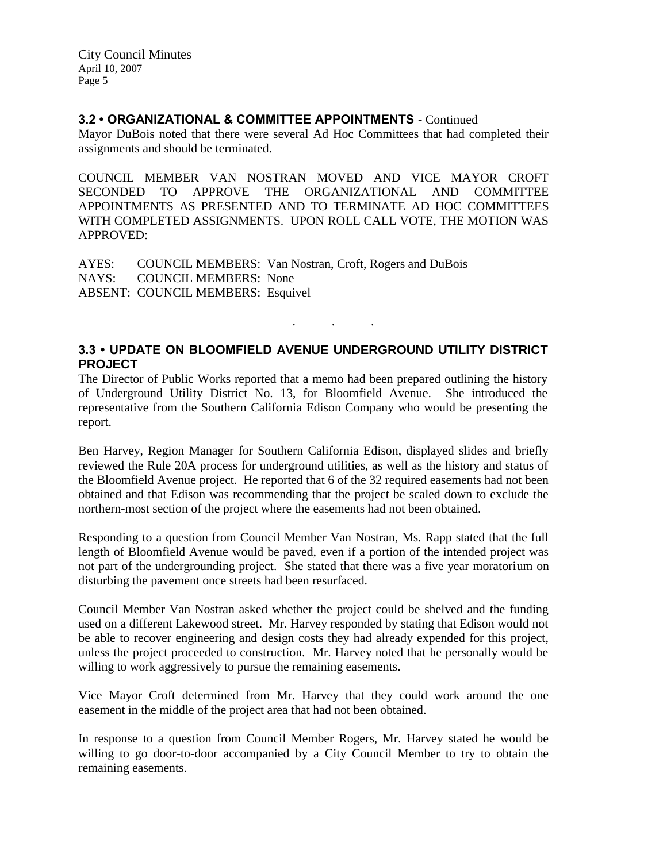#### **3.2 • ORGANIZATIONAL & COMMITTEE APPOINTMENTS** - Continued

Mayor DuBois noted that there were several Ad Hoc Committees that had completed their assignments and should be terminated.

COUNCIL MEMBER VAN NOSTRAN MOVED AND VICE MAYOR CROFT SECONDED TO APPROVE THE ORGANIZATIONAL AND COMMITTEE APPOINTMENTS AS PRESENTED AND TO TERMINATE AD HOC COMMITTEES WITH COMPLETED ASSIGNMENTS. UPON ROLL CALL VOTE, THE MOTION WAS APPROVED:

AYES: COUNCIL MEMBERS: Van Nostran, Croft, Rogers and DuBois NAYS: COUNCIL MEMBERS: None ABSENT: COUNCIL MEMBERS: Esquivel

# **3.3 • UPDATE ON BLOOMFIELD AVENUE UNDERGROUND UTILITY DISTRICT PROJECT**

. . .

The Director of Public Works reported that a memo had been prepared outlining the history of Underground Utility District No. 13, for Bloomfield Avenue. She introduced the representative from the Southern California Edison Company who would be presenting the report.

Ben Harvey, Region Manager for Southern California Edison, displayed slides and briefly reviewed the Rule 20A process for underground utilities, as well as the history and status of the Bloomfield Avenue project. He reported that 6 of the 32 required easements had not been obtained and that Edison was recommending that the project be scaled down to exclude the northern-most section of the project where the easements had not been obtained.

Responding to a question from Council Member Van Nostran, Ms. Rapp stated that the full length of Bloomfield Avenue would be paved, even if a portion of the intended project was not part of the undergrounding project. She stated that there was a five year moratorium on disturbing the pavement once streets had been resurfaced.

Council Member Van Nostran asked whether the project could be shelved and the funding used on a different Lakewood street. Mr. Harvey responded by stating that Edison would not be able to recover engineering and design costs they had already expended for this project, unless the project proceeded to construction. Mr. Harvey noted that he personally would be willing to work aggressively to pursue the remaining easements.

Vice Mayor Croft determined from Mr. Harvey that they could work around the one easement in the middle of the project area that had not been obtained.

In response to a question from Council Member Rogers, Mr. Harvey stated he would be willing to go door-to-door accompanied by a City Council Member to try to obtain the remaining easements.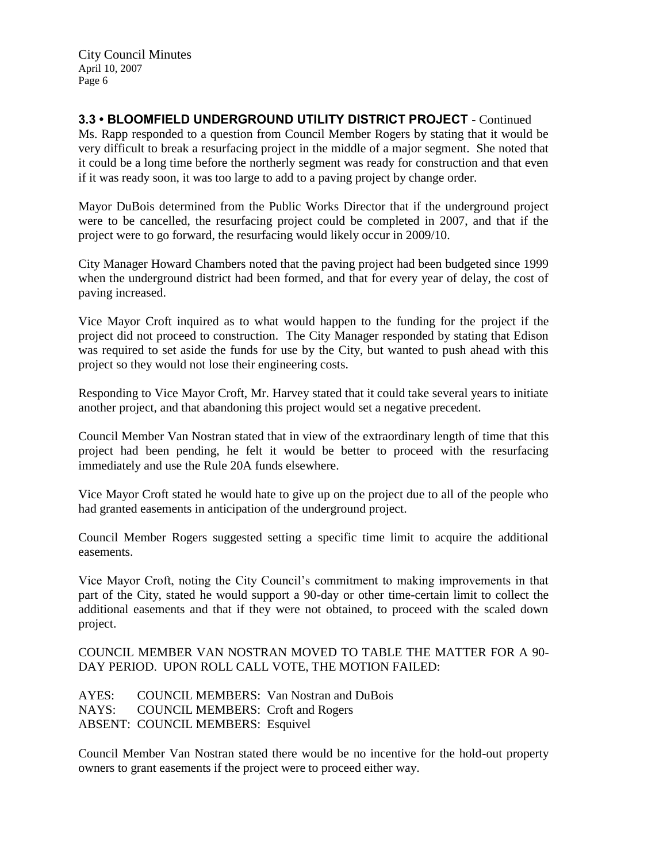**3.3 • BLOOMFIELD UNDERGROUND UTILITY DISTRICT PROJECT** - Continued Ms. Rapp responded to a question from Council Member Rogers by stating that it would be very difficult to break a resurfacing project in the middle of a major segment. She noted that it could be a long time before the northerly segment was ready for construction and that even if it was ready soon, it was too large to add to a paving project by change order.

Mayor DuBois determined from the Public Works Director that if the underground project were to be cancelled, the resurfacing project could be completed in 2007, and that if the project were to go forward, the resurfacing would likely occur in 2009/10.

City Manager Howard Chambers noted that the paving project had been budgeted since 1999 when the underground district had been formed, and that for every year of delay, the cost of paving increased.

Vice Mayor Croft inquired as to what would happen to the funding for the project if the project did not proceed to construction. The City Manager responded by stating that Edison was required to set aside the funds for use by the City, but wanted to push ahead with this project so they would not lose their engineering costs.

Responding to Vice Mayor Croft, Mr. Harvey stated that it could take several years to initiate another project, and that abandoning this project would set a negative precedent.

Council Member Van Nostran stated that in view of the extraordinary length of time that this project had been pending, he felt it would be better to proceed with the resurfacing immediately and use the Rule 20A funds elsewhere.

Vice Mayor Croft stated he would hate to give up on the project due to all of the people who had granted easements in anticipation of the underground project.

Council Member Rogers suggested setting a specific time limit to acquire the additional easements.

Vice Mayor Croft, noting the City Council's commitment to making improvements in that part of the City, stated he would support a 90-day or other time-certain limit to collect the additional easements and that if they were not obtained, to proceed with the scaled down project.

COUNCIL MEMBER VAN NOSTRAN MOVED TO TABLE THE MATTER FOR A 90- DAY PERIOD. UPON ROLL CALL VOTE, THE MOTION FAILED:

AYES: COUNCIL MEMBERS: Van Nostran and DuBois NAYS: COUNCIL MEMBERS: Croft and Rogers ABSENT: COUNCIL MEMBERS: Esquivel

Council Member Van Nostran stated there would be no incentive for the hold-out property owners to grant easements if the project were to proceed either way.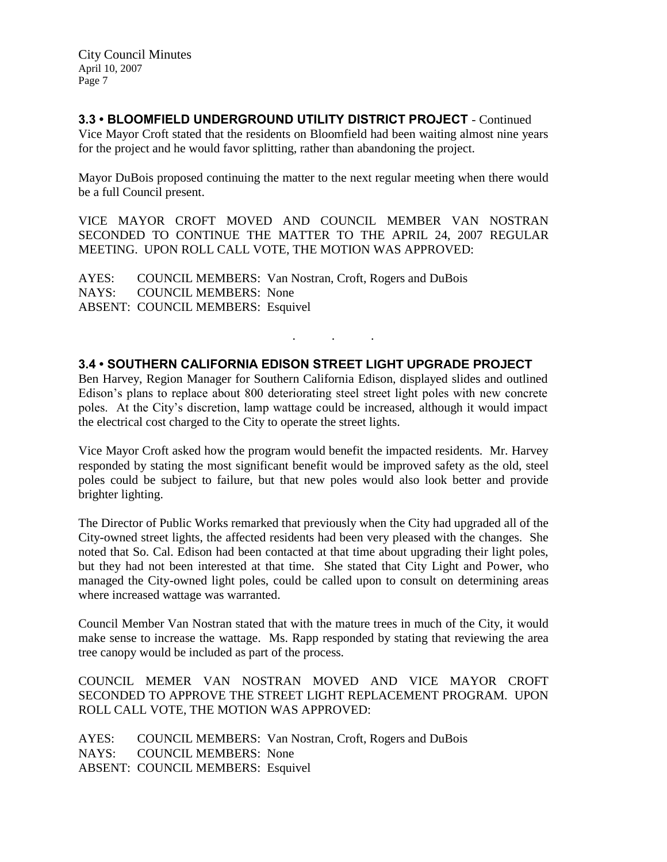# **3.3 • BLOOMFIELD UNDERGROUND UTILITY DISTRICT PROJECT** - Continued

Vice Mayor Croft stated that the residents on Bloomfield had been waiting almost nine years for the project and he would favor splitting, rather than abandoning the project.

Mayor DuBois proposed continuing the matter to the next regular meeting when there would be a full Council present.

VICE MAYOR CROFT MOVED AND COUNCIL MEMBER VAN NOSTRAN SECONDED TO CONTINUE THE MATTER TO THE APRIL 24, 2007 REGULAR MEETING. UPON ROLL CALL VOTE, THE MOTION WAS APPROVED:

AYES: COUNCIL MEMBERS: Van Nostran, Croft, Rogers and DuBois NAYS: COUNCIL MEMBERS: None ABSENT: COUNCIL MEMBERS: Esquivel

## **3.4 • SOUTHERN CALIFORNIA EDISON STREET LIGHT UPGRADE PROJECT**

Ben Harvey, Region Manager for Southern California Edison, displayed slides and outlined Edison's plans to replace about 800 deteriorating steel street light poles with new concrete poles. At the City's discretion, lamp wattage could be increased, although it would impact the electrical cost charged to the City to operate the street lights.

. . .

Vice Mayor Croft asked how the program would benefit the impacted residents. Mr. Harvey responded by stating the most significant benefit would be improved safety as the old, steel poles could be subject to failure, but that new poles would also look better and provide brighter lighting.

The Director of Public Works remarked that previously when the City had upgraded all of the City-owned street lights, the affected residents had been very pleased with the changes. She noted that So. Cal. Edison had been contacted at that time about upgrading their light poles, but they had not been interested at that time. She stated that City Light and Power, who managed the City-owned light poles, could be called upon to consult on determining areas where increased wattage was warranted.

Council Member Van Nostran stated that with the mature trees in much of the City, it would make sense to increase the wattage. Ms. Rapp responded by stating that reviewing the area tree canopy would be included as part of the process.

COUNCIL MEMER VAN NOSTRAN MOVED AND VICE MAYOR CROFT SECONDED TO APPROVE THE STREET LIGHT REPLACEMENT PROGRAM. UPON ROLL CALL VOTE, THE MOTION WAS APPROVED:

AYES: COUNCIL MEMBERS: Van Nostran, Croft, Rogers and DuBois NAYS: COUNCIL MEMBERS: None ABSENT: COUNCIL MEMBERS: Esquivel